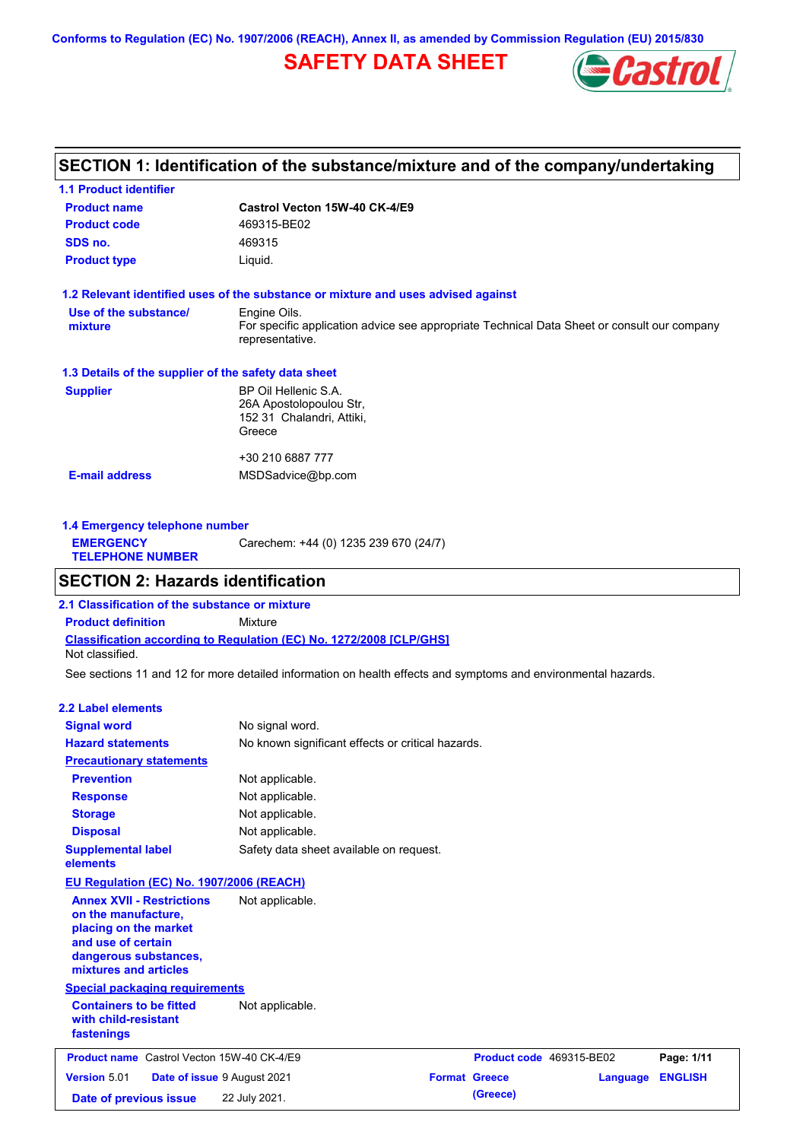**Conforms to Regulation (EC) No. 1907/2006 (REACH), Annex II, as amended by Commission Regulation (EU) 2015/830**

# **SAFETY DATA SHEET**



## **SECTION 1: Identification of the substance/mixture and of the company/undertaking**

| <b>1.1 Product identifier</b>                        |                                                                                                                |
|------------------------------------------------------|----------------------------------------------------------------------------------------------------------------|
| <b>Product name</b>                                  | Castrol Vecton 15W-40 CK-4/E9                                                                                  |
| <b>Product code</b>                                  | 469315-BE02                                                                                                    |
| SDS no.                                              | 469315                                                                                                         |
| <b>Product type</b>                                  | Liquid.                                                                                                        |
|                                                      | 1.2 Relevant identified uses of the substance or mixture and uses advised against                              |
| Use of the substance/                                | Engine Oils.                                                                                                   |
| mixture                                              | For specific application advice see appropriate Technical Data Sheet or consult our company<br>representative. |
| 1.3 Details of the supplier of the safety data sheet |                                                                                                                |
| <b>Supplier</b>                                      | BP Oil Hellenic S.A.                                                                                           |
|                                                      | 26A Apostolopoulou Str,                                                                                        |
|                                                      | 152 31 Chalandri, Attiki,                                                                                      |
|                                                      | Greece                                                                                                         |
|                                                      | +30 210 6887 777                                                                                               |
| <b>E-mail address</b>                                | MSDSadvice@bp.com                                                                                              |
|                                                      |                                                                                                                |
|                                                      |                                                                                                                |

**1.4 Emergency telephone number EMERGENCY TELEPHONE NUMBER** Carechem: +44 (0) 1235 239 670 (24/7)

### **SECTION 2: Hazards identification**

**Classification according to Regulation (EC) No. 1272/2008 [CLP/GHS] 2.1 Classification of the substance or mixture Product definition** Mixture Not classified.

See sections 11 and 12 for more detailed information on health effects and symptoms and environmental hazards.

#### **2.2 Label elements**

| <b>Signal word</b><br><b>Hazard statements</b>                                                                                                           | No signal word.<br>No known significant effects or critical hazards. |                          |          |                |
|----------------------------------------------------------------------------------------------------------------------------------------------------------|----------------------------------------------------------------------|--------------------------|----------|----------------|
| <b>Precautionary statements</b>                                                                                                                          |                                                                      |                          |          |                |
| <b>Prevention</b>                                                                                                                                        | Not applicable.                                                      |                          |          |                |
| <b>Response</b>                                                                                                                                          | Not applicable.                                                      |                          |          |                |
| <b>Storage</b>                                                                                                                                           | Not applicable.                                                      |                          |          |                |
| <b>Disposal</b>                                                                                                                                          | Not applicable.                                                      |                          |          |                |
| <b>Supplemental label</b><br>elements                                                                                                                    | Safety data sheet available on request.                              |                          |          |                |
| EU Regulation (EC) No. 1907/2006 (REACH)                                                                                                                 |                                                                      |                          |          |                |
| <b>Annex XVII - Restrictions</b><br>on the manufacture,<br>placing on the market<br>and use of certain<br>dangerous substances,<br>mixtures and articles | Not applicable.                                                      |                          |          |                |
| <b>Special packaging requirements</b>                                                                                                                    |                                                                      |                          |          |                |
| <b>Containers to be fitted</b><br>with child-resistant<br>fastenings                                                                                     | Not applicable.                                                      |                          |          |                |
| <b>Product name</b> Castrol Vecton 15W-40 CK-4/E9                                                                                                        |                                                                      | Product code 469315-BE02 |          | Page: 1/11     |
| <b>Version 5.01</b>                                                                                                                                      | Date of issue 9 August 2021                                          | <b>Format Greece</b>     | Language | <b>ENGLISH</b> |
| Date of previous issue                                                                                                                                   | 22 July 2021.                                                        | (Greece)                 |          |                |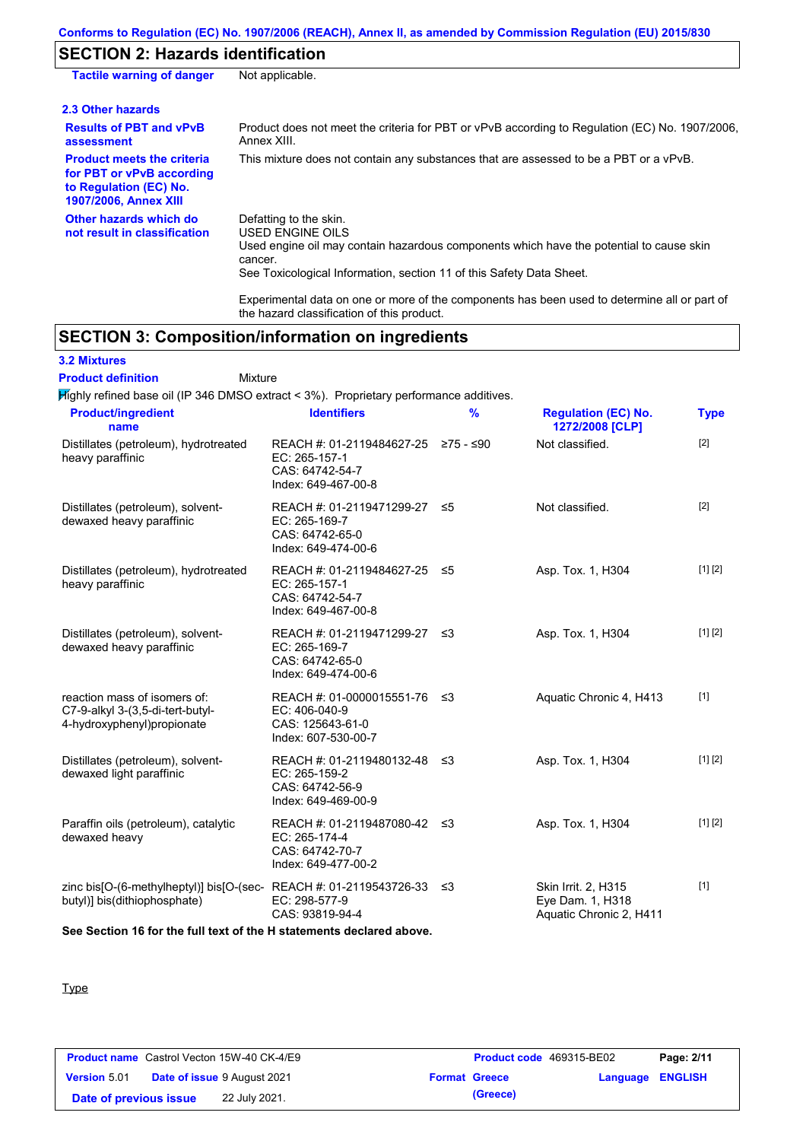## **SECTION 2: Hazards identification**

| <b>Tactile warning of danger</b>                                                                                         | Not applicable.                                                                                                                                                                                                                 |
|--------------------------------------------------------------------------------------------------------------------------|---------------------------------------------------------------------------------------------------------------------------------------------------------------------------------------------------------------------------------|
| 2.3 Other hazards                                                                                                        |                                                                                                                                                                                                                                 |
| <b>Results of PBT and vPvB</b><br>assessment                                                                             | Product does not meet the criteria for PBT or vPvB according to Regulation (EC) No. 1907/2006,<br>Annex XIII.                                                                                                                   |
| <b>Product meets the criteria</b><br>for PBT or vPvB according<br>to Regulation (EC) No.<br><b>1907/2006, Annex XIII</b> | This mixture does not contain any substances that are assessed to be a PBT or a vPvB.                                                                                                                                           |
| Other hazards which do<br>not result in classification                                                                   | Defatting to the skin.<br><b>USED ENGINE OILS</b><br>Used engine oil may contain hazardous components which have the potential to cause skin<br>cancer.<br>See Toxicological Information, section 11 of this Safety Data Sheet. |
|                                                                                                                          | Experimental data on one or more of the components has been used to determine all or part of                                                                                                                                    |

Experimental data on one or more of the components has been used to determine all or part of the hazard classification of this product.

# **SECTION 3: Composition/information on ingredients**

## **3.2 Mixtures**

Mixture **Product definition**

Highly refined base oil (IP 346 DMSO extract < 3%). Proprietary performance additives.

| <b>Product/ingredient</b><br>name                                                                    | <b>Identifiers</b>                                                                       | $\frac{9}{6}$ | <b>Regulation (EC) No.</b><br>1272/2008 [CLP]                      | <b>Type</b> |
|------------------------------------------------------------------------------------------------------|------------------------------------------------------------------------------------------|---------------|--------------------------------------------------------------------|-------------|
| Distillates (petroleum), hydrotreated<br>heavy paraffinic                                            | REACH #: 01-2119484627-25<br>EC: 265-157-1<br>CAS: 64742-54-7<br>Index: 649-467-00-8     | ≥75 - ≤90     | Not classified.                                                    | [2]         |
| Distillates (petroleum), solvent-<br>dewaxed heavy paraffinic                                        | REACH #: 01-2119471299-27<br>EC: 265-169-7<br>CAS: 64742-65-0<br>Index: 649-474-00-6     | 55            | Not classified.                                                    | $[2]$       |
| Distillates (petroleum), hydrotreated<br>heavy paraffinic                                            | REACH #: 01-2119484627-25 ≤5<br>EC: 265-157-1<br>CAS: 64742-54-7<br>Index: 649-467-00-8  |               | Asp. Tox. 1, H304                                                  | [1] [2]     |
| Distillates (petroleum), solvent-<br>dewaxed heavy paraffinic                                        | REACH #: 01-2119471299-27 ≤3<br>EC: 265-169-7<br>CAS: 64742-65-0<br>Index: 649-474-00-6  |               | Asp. Tox. 1, H304                                                  | [1] [2]     |
| reaction mass of isomers of:<br>C7-9-alkyl 3-(3,5-di-tert-butyl-<br>4-hydroxyphenyl) propionate      | REACH #: 01-0000015551-76 ≤3<br>EC: 406-040-9<br>CAS: 125643-61-0<br>Index: 607-530-00-7 |               | Aquatic Chronic 4, H413                                            | $[1]$       |
| Distillates (petroleum), solvent-<br>dewaxed light paraffinic                                        | REACH #: 01-2119480132-48 ≤3<br>EC: 265-159-2<br>CAS: 64742-56-9<br>Index: 649-469-00-9  |               | Asp. Tox. 1, H304                                                  | [1] [2]     |
| Paraffin oils (petroleum), catalytic<br>dewaxed heavy                                                | REACH #: 01-2119487080-42 ≤3<br>EC: 265-174-4<br>CAS: 64742-70-7<br>Index: 649-477-00-2  |               | Asp. Tox. 1, H304                                                  | [1] [2]     |
| zinc bis[O-(6-methylheptyl)] bis[O-(sec-REACH #: 01-2119543726-33 ≤3<br>butyl)] bis(dithiophosphate) | EC: 298-577-9<br>CAS: 93819-94-4                                                         |               | Skin Irrit. 2, H315<br>Eye Dam. 1, H318<br>Aquatic Chronic 2, H411 | $[1]$       |

**See Section 16 for the full text of the H statements declared above.**

#### Type

|                        | <b>Product name</b> Castrol Vecton 15W-40 CK-4/E9 | <b>Product code</b> 469315-BE02 |                         | Page: 2/11 |
|------------------------|---------------------------------------------------|---------------------------------|-------------------------|------------|
| <b>Version 5.01</b>    | <b>Date of issue 9 August 2021</b>                | <b>Format Greece</b>            | <b>Language ENGLISH</b> |            |
| Date of previous issue | 22 July 2021.                                     | (Greece)                        |                         |            |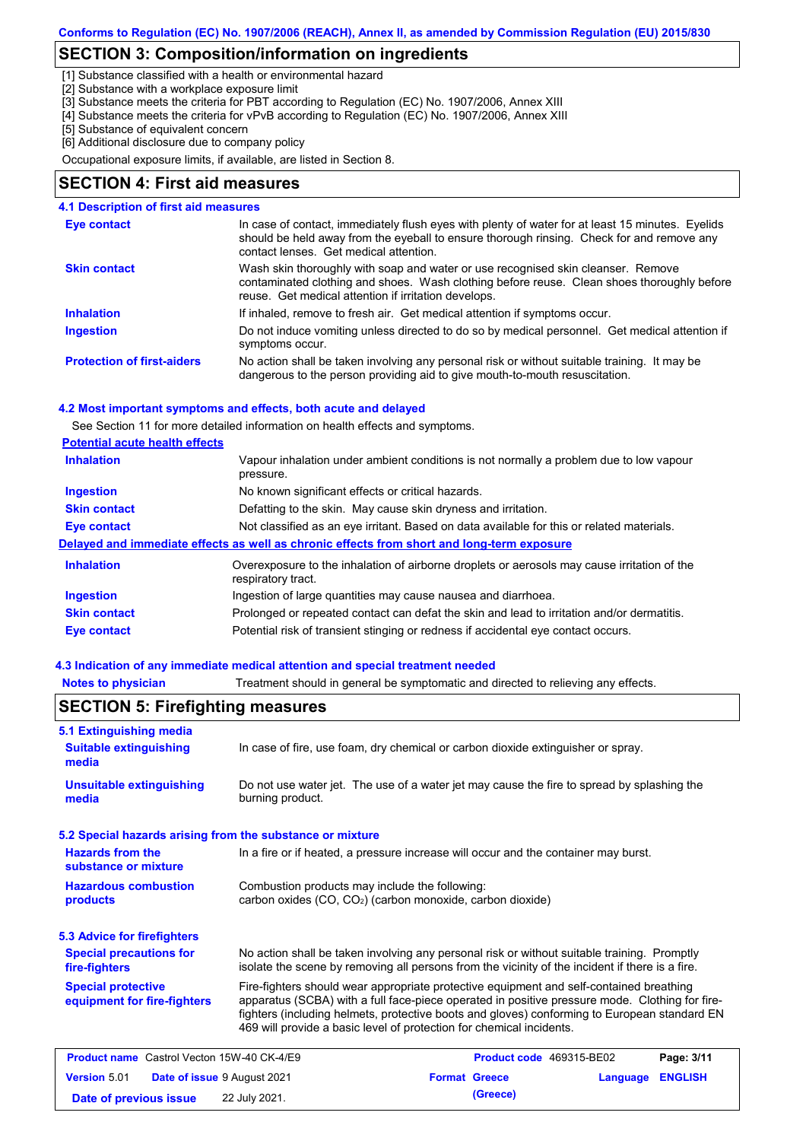## **SECTION 3: Composition/information on ingredients**

[1] Substance classified with a health or environmental hazard

[2] Substance with a workplace exposure limit

[3] Substance meets the criteria for PBT according to Regulation (EC) No. 1907/2006, Annex XIII

- [4] Substance meets the criteria for vPvB according to Regulation (EC) No. 1907/2006, Annex XIII
- [5] Substance of equivalent concern

[6] Additional disclosure due to company policy

Occupational exposure limits, if available, are listed in Section 8.

### **SECTION 4: First aid measures**

#### **4.1 Description of first aid measures**

| Eye contact                       | In case of contact, immediately flush eyes with plenty of water for at least 15 minutes. Eyelids<br>should be held away from the eyeball to ensure thorough rinsing. Check for and remove any<br>contact lenses. Get medical attention. |
|-----------------------------------|-----------------------------------------------------------------------------------------------------------------------------------------------------------------------------------------------------------------------------------------|
| <b>Skin contact</b>               | Wash skin thoroughly with soap and water or use recognised skin cleanser. Remove<br>contaminated clothing and shoes. Wash clothing before reuse. Clean shoes thoroughly before<br>reuse. Get medical attention if irritation develops.  |
| <b>Inhalation</b>                 | If inhaled, remove to fresh air. Get medical attention if symptoms occur.                                                                                                                                                               |
| <b>Ingestion</b>                  | Do not induce vomiting unless directed to do so by medical personnel. Get medical attention if<br>symptoms occur.                                                                                                                       |
| <b>Protection of first-aiders</b> | No action shall be taken involving any personal risk or without suitable training. It may be<br>dangerous to the person providing aid to give mouth-to-mouth resuscitation.                                                             |

#### **4.2 Most important symptoms and effects, both acute and delayed**

See Section 11 for more detailed information on health effects and symptoms.

| <b>Potential acute health effects</b> |  |  |
|---------------------------------------|--|--|
|                                       |  |  |

| <b>Inhalation</b>   | Vapour inhalation under ambient conditions is not normally a problem due to low vapour<br>pressure.               |
|---------------------|-------------------------------------------------------------------------------------------------------------------|
| <b>Ingestion</b>    | No known significant effects or critical hazards.                                                                 |
| <b>Skin contact</b> | Defatting to the skin. May cause skin dryness and irritation.                                                     |
| Eye contact         | Not classified as an eye irritant. Based on data available for this or related materials.                         |
|                     | Delayed and immediate effects as well as chronic effects from short and long-term exposure                        |
| <b>Inhalation</b>   | Overexposure to the inhalation of airborne droplets or aerosols may cause irritation of the<br>respiratory tract. |
| <b>Ingestion</b>    | Ingestion of large quantities may cause nausea and diarrhoea.                                                     |
| <b>Skin contact</b> | Prolonged or repeated contact can defat the skin and lead to irritation and/or dermatitis.                        |
| Eye contact         | Potential risk of transient stinging or redness if accidental eye contact occurs.                                 |

#### **4.3 Indication of any immediate medical attention and special treatment needed**

**Notes to physician** Treatment should in general be symptomatic and directed to relieving any effects.

| 5.1 Extinguishing media                                   |                                                                                                                                                                                                                                                                                                                                                                   |  |  |
|-----------------------------------------------------------|-------------------------------------------------------------------------------------------------------------------------------------------------------------------------------------------------------------------------------------------------------------------------------------------------------------------------------------------------------------------|--|--|
| <b>Suitable extinguishing</b><br>media                    | In case of fire, use foam, dry chemical or carbon dioxide extinguisher or spray.                                                                                                                                                                                                                                                                                  |  |  |
| <b>Unsuitable extinguishing</b><br>media                  | Do not use water jet. The use of a water jet may cause the fire to spread by splashing the<br>burning product.                                                                                                                                                                                                                                                    |  |  |
| 5.2 Special hazards arising from the substance or mixture |                                                                                                                                                                                                                                                                                                                                                                   |  |  |
| <b>Hazards from the</b><br>substance or mixture           | In a fire or if heated, a pressure increase will occur and the container may burst.                                                                                                                                                                                                                                                                               |  |  |
| <b>Hazardous combustion</b><br><b>products</b>            | Combustion products may include the following:<br>carbon oxides $(CO, CO2)$ (carbon monoxide, carbon dioxide)                                                                                                                                                                                                                                                     |  |  |
| <b>5.3 Advice for firefighters</b>                        |                                                                                                                                                                                                                                                                                                                                                                   |  |  |
| <b>Special precautions for</b><br>fire-fighters           | No action shall be taken involving any personal risk or without suitable training. Promptly<br>isolate the scene by removing all persons from the vicinity of the incident if there is a fire.                                                                                                                                                                    |  |  |
| <b>Special protective</b><br>equipment for fire-fighters  | Fire-fighters should wear appropriate protective equipment and self-contained breathing<br>apparatus (SCBA) with a full face-piece operated in positive pressure mode. Clothing for fire-<br>fighters (including helmets, protective boots and gloves) conforming to European standard EN<br>469 will provide a basic level of protection for chemical incidents. |  |  |
| <b>Product name</b> Castrol Vecton 15W-40 CK-4/E9         | Product code 469315-BE02<br>Page: 3/11                                                                                                                                                                                                                                                                                                                            |  |  |
| <b>Version 5.01</b><br>Date of issue 9 August 2021        | <b>Format Greece</b><br><b>ENGLISH</b><br>Language                                                                                                                                                                                                                                                                                                                |  |  |
| Date of previous issue                                    | (Greece)<br>22 July 2021.                                                                                                                                                                                                                                                                                                                                         |  |  |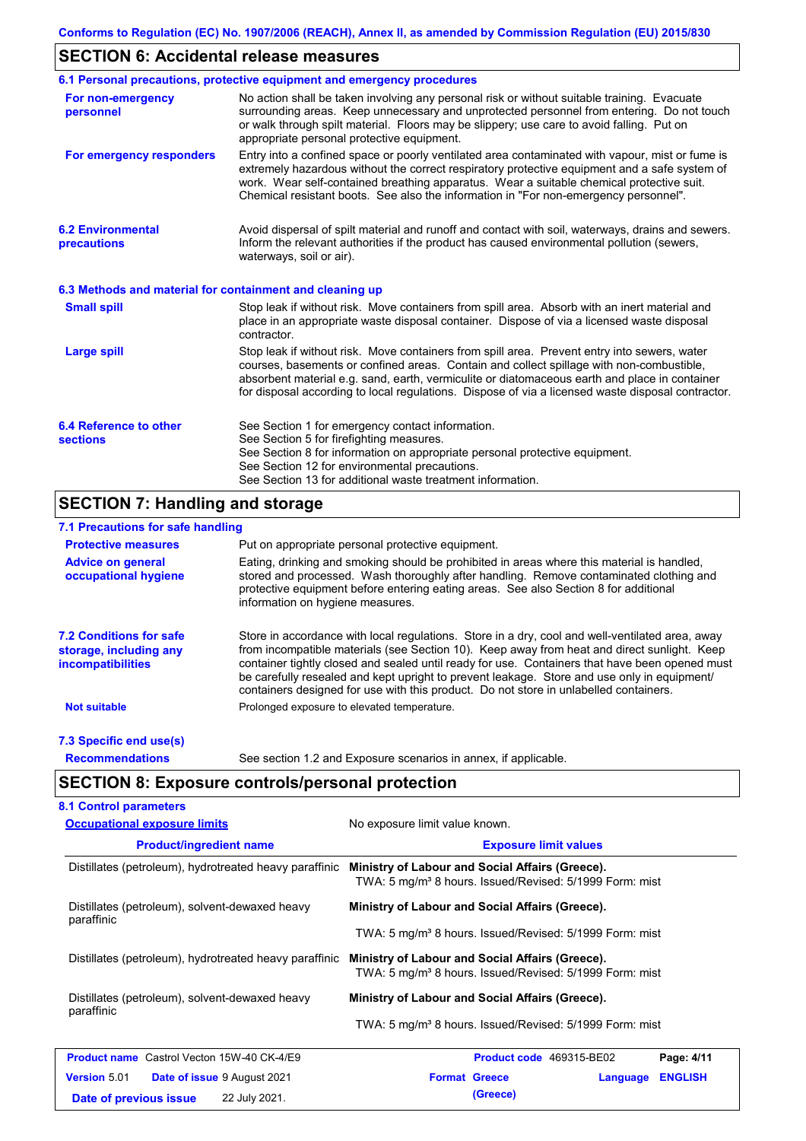## **SECTION 6: Accidental release measures**

|                                                          | 6.1 Personal precautions, protective equipment and emergency procedures                                                                                                                                                                                                                                                                                                                        |
|----------------------------------------------------------|------------------------------------------------------------------------------------------------------------------------------------------------------------------------------------------------------------------------------------------------------------------------------------------------------------------------------------------------------------------------------------------------|
| For non-emergency<br>personnel                           | No action shall be taken involving any personal risk or without suitable training. Evacuate<br>surrounding areas. Keep unnecessary and unprotected personnel from entering. Do not touch<br>or walk through spilt material. Floors may be slippery; use care to avoid falling. Put on<br>appropriate personal protective equipment.                                                            |
| For emergency responders                                 | Entry into a confined space or poorly ventilated area contaminated with vapour, mist or fume is<br>extremely hazardous without the correct respiratory protective equipment and a safe system of<br>work. Wear self-contained breathing apparatus. Wear a suitable chemical protective suit.<br>Chemical resistant boots. See also the information in "For non-emergency personnel".           |
| <b>6.2 Environmental</b><br>precautions                  | Avoid dispersal of spilt material and runoff and contact with soil, waterways, drains and sewers.<br>Inform the relevant authorities if the product has caused environmental pollution (sewers,<br>waterways, soil or air).                                                                                                                                                                    |
| 6.3 Methods and material for containment and cleaning up |                                                                                                                                                                                                                                                                                                                                                                                                |
| <b>Small spill</b>                                       | Stop leak if without risk. Move containers from spill area. Absorb with an inert material and<br>place in an appropriate waste disposal container. Dispose of via a licensed waste disposal<br>contractor.                                                                                                                                                                                     |
| <b>Large spill</b>                                       | Stop leak if without risk. Move containers from spill area. Prevent entry into sewers, water<br>courses, basements or confined areas. Contain and collect spillage with non-combustible,<br>absorbent material e.g. sand, earth, vermiculite or diatomaceous earth and place in container<br>for disposal according to local regulations. Dispose of via a licensed waste disposal contractor. |
| 6.4 Reference to other<br><b>sections</b>                | See Section 1 for emergency contact information.<br>See Section 5 for firefighting measures.<br>See Section 8 for information on appropriate personal protective equipment.<br>See Section 12 for environmental precautions.<br>See Section 13 for additional waste treatment information.                                                                                                     |

# **SECTION 7: Handling and storage**

### **7.1 Precautions for safe handling**

| <b>Protective measures</b>                                                           | Put on appropriate personal protective equipment.                                                                                                                                                                                                                                                                                                                                                                                                                                        |
|--------------------------------------------------------------------------------------|------------------------------------------------------------------------------------------------------------------------------------------------------------------------------------------------------------------------------------------------------------------------------------------------------------------------------------------------------------------------------------------------------------------------------------------------------------------------------------------|
| <b>Advice on general</b><br>occupational hygiene                                     | Eating, drinking and smoking should be prohibited in areas where this material is handled,<br>stored and processed. Wash thoroughly after handling. Remove contaminated clothing and<br>protective equipment before entering eating areas. See also Section 8 for additional<br>information on hygiene measures.                                                                                                                                                                         |
| <b>7.2 Conditions for safe</b><br>storage, including any<br><i>incompatibilities</i> | Store in accordance with local requiations. Store in a dry, cool and well-ventilated area, away<br>from incompatible materials (see Section 10). Keep away from heat and direct sunlight. Keep<br>container tightly closed and sealed until ready for use. Containers that have been opened must<br>be carefully resealed and kept upright to prevent leakage. Store and use only in equipment/<br>containers designed for use with this product. Do not store in unlabelled containers. |
| <b>Not suitable</b>                                                                  | Prolonged exposure to elevated temperature.                                                                                                                                                                                                                                                                                                                                                                                                                                              |
| 7.3 Specific end use(s)                                                              |                                                                                                                                                                                                                                                                                                                                                                                                                                                                                          |
| <b>Recommendations</b>                                                               | See section 1.2 and Exposure scenarios in annex, if applicable.                                                                                                                                                                                                                                                                                                                                                                                                                          |

# **SECTION 8: Exposure controls/personal protection**

| <b>Occupational exposure limits</b>                          | No exposure limit value known.                                                                                         |  |  |
|--------------------------------------------------------------|------------------------------------------------------------------------------------------------------------------------|--|--|
| <b>Product/ingredient name</b>                               | <b>Exposure limit values</b>                                                                                           |  |  |
| Distillates (petroleum), hydrotreated heavy paraffinic       | Ministry of Labour and Social Affairs (Greece).<br>TWA: 5 mg/m <sup>3</sup> 8 hours. Issued/Revised: 5/1999 Form: mist |  |  |
| Distillates (petroleum), solvent-dewaxed heavy<br>paraffinic | Ministry of Labour and Social Affairs (Greece).                                                                        |  |  |
|                                                              | TWA: 5 mg/m <sup>3</sup> 8 hours. Issued/Revised: 5/1999 Form: mist                                                    |  |  |
| Distillates (petroleum), hydrotreated heavy paraffinic       | Ministry of Labour and Social Affairs (Greece).<br>TWA: 5 mg/m <sup>3</sup> 8 hours. Issued/Revised: 5/1999 Form: mist |  |  |
| Distillates (petroleum), solvent-dewaxed heavy               | Ministry of Labour and Social Affairs (Greece).                                                                        |  |  |
| paraffinic                                                   | TWA: 5 mg/m <sup>3</sup> 8 hours. Issued/Revised: 5/1999 Form: mist                                                    |  |  |
| <b>Product name</b> Castrol Vecton 15W-40 CK-4/E9            | Product code 469315-BE02<br>Page: 4/11                                                                                 |  |  |
| <b>Version 5.01</b><br><b>Date of issue 9 August 2021</b>    | <b>Format Greece</b><br><b>ENGLISH</b><br>Language                                                                     |  |  |
| 22 July 2021.<br>Date of previous issue                      | (Greece)                                                                                                               |  |  |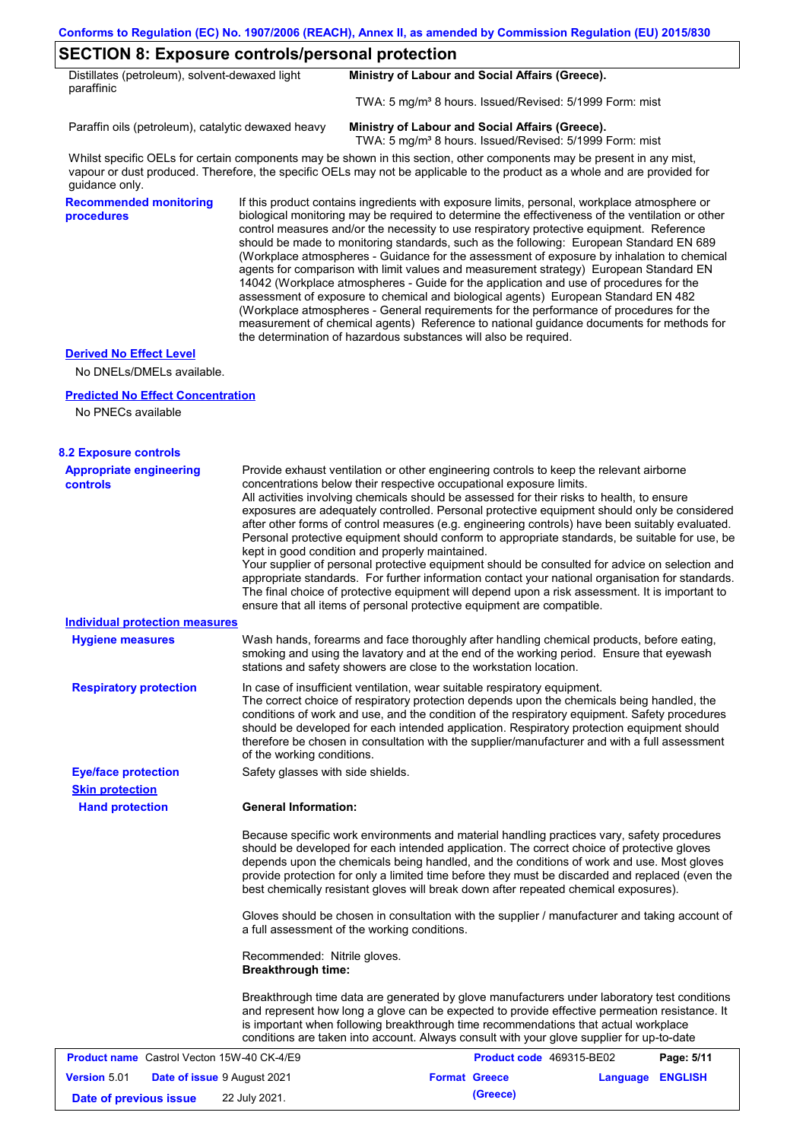## **SECTION 8: Exposure controls/personal protection**

| Distillates (petroleum), solvent-dewaxed light<br>paraffinic | Ministry of Labour and Social Affairs (Greece).                     |
|--------------------------------------------------------------|---------------------------------------------------------------------|
|                                                              | TWA: 5 mg/m <sup>3</sup> 8 hours. Issued/Revised: 5/1999 Form: mist |

Paraffin oils (petroleum), catalytic dewaxed heavy **Ministry of Labour and Social Affairs (Greece).**

TWA: 5 mg/m<sup>3</sup> 8 hours. Issued/Revised: 5/1999 Form: mist

Whilst specific OELs for certain components may be shown in this section, other components may be present in any mist, vapour or dust produced. Therefore, the specific OELs may not be applicable to the product as a whole and are provided for guidance only.

**Recommended monitoring procedures**

If this product contains ingredients with exposure limits, personal, workplace atmosphere or biological monitoring may be required to determine the effectiveness of the ventilation or other control measures and/or the necessity to use respiratory protective equipment. Reference should be made to monitoring standards, such as the following: European Standard EN 689 (Workplace atmospheres - Guidance for the assessment of exposure by inhalation to chemical agents for comparison with limit values and measurement strategy) European Standard EN 14042 (Workplace atmospheres - Guide for the application and use of procedures for the assessment of exposure to chemical and biological agents) European Standard EN 482 (Workplace atmospheres - General requirements for the performance of procedures for the measurement of chemical agents) Reference to national guidance documents for methods for the determination of hazardous substances will also be required.

#### **Derived No Effect Level**

No DNELs/DMELs available.

#### **Predicted No Effect Concentration**

No PNECs available

| <b>8.2 Exposure controls</b>                              |                                                                                                                                                                                                                                                                                                                                                                                                                                                                                                                                                                                                                                                                                                                                                                                                                                                                                                                                                                                                         |                          |                  |            |
|-----------------------------------------------------------|---------------------------------------------------------------------------------------------------------------------------------------------------------------------------------------------------------------------------------------------------------------------------------------------------------------------------------------------------------------------------------------------------------------------------------------------------------------------------------------------------------------------------------------------------------------------------------------------------------------------------------------------------------------------------------------------------------------------------------------------------------------------------------------------------------------------------------------------------------------------------------------------------------------------------------------------------------------------------------------------------------|--------------------------|------------------|------------|
| <b>Appropriate engineering</b><br><b>controls</b>         | Provide exhaust ventilation or other engineering controls to keep the relevant airborne<br>concentrations below their respective occupational exposure limits.<br>All activities involving chemicals should be assessed for their risks to health, to ensure<br>exposures are adequately controlled. Personal protective equipment should only be considered<br>after other forms of control measures (e.g. engineering controls) have been suitably evaluated.<br>Personal protective equipment should conform to appropriate standards, be suitable for use, be<br>kept in good condition and properly maintained.<br>Your supplier of personal protective equipment should be consulted for advice on selection and<br>appropriate standards. For further information contact your national organisation for standards.<br>The final choice of protective equipment will depend upon a risk assessment. It is important to<br>ensure that all items of personal protective equipment are compatible. |                          |                  |            |
| <b>Individual protection measures</b>                     |                                                                                                                                                                                                                                                                                                                                                                                                                                                                                                                                                                                                                                                                                                                                                                                                                                                                                                                                                                                                         |                          |                  |            |
| <b>Hygiene measures</b>                                   | Wash hands, forearms and face thoroughly after handling chemical products, before eating,<br>smoking and using the lavatory and at the end of the working period. Ensure that eyewash<br>stations and safety showers are close to the workstation location.                                                                                                                                                                                                                                                                                                                                                                                                                                                                                                                                                                                                                                                                                                                                             |                          |                  |            |
| <b>Respiratory protection</b>                             | In case of insufficient ventilation, wear suitable respiratory equipment.<br>The correct choice of respiratory protection depends upon the chemicals being handled, the<br>conditions of work and use, and the condition of the respiratory equipment. Safety procedures<br>should be developed for each intended application. Respiratory protection equipment should<br>therefore be chosen in consultation with the supplier/manufacturer and with a full assessment<br>of the working conditions.                                                                                                                                                                                                                                                                                                                                                                                                                                                                                                   |                          |                  |            |
| <b>Eye/face protection</b>                                | Safety glasses with side shields.                                                                                                                                                                                                                                                                                                                                                                                                                                                                                                                                                                                                                                                                                                                                                                                                                                                                                                                                                                       |                          |                  |            |
| <b>Skin protection</b>                                    |                                                                                                                                                                                                                                                                                                                                                                                                                                                                                                                                                                                                                                                                                                                                                                                                                                                                                                                                                                                                         |                          |                  |            |
| <b>Hand protection</b>                                    | <b>General Information:</b>                                                                                                                                                                                                                                                                                                                                                                                                                                                                                                                                                                                                                                                                                                                                                                                                                                                                                                                                                                             |                          |                  |            |
|                                                           | Because specific work environments and material handling practices vary, safety procedures<br>should be developed for each intended application. The correct choice of protective gloves<br>depends upon the chemicals being handled, and the conditions of work and use. Most gloves<br>provide protection for only a limited time before they must be discarded and replaced (even the<br>best chemically resistant gloves will break down after repeated chemical exposures).                                                                                                                                                                                                                                                                                                                                                                                                                                                                                                                        |                          |                  |            |
|                                                           | Gloves should be chosen in consultation with the supplier / manufacturer and taking account of<br>a full assessment of the working conditions.                                                                                                                                                                                                                                                                                                                                                                                                                                                                                                                                                                                                                                                                                                                                                                                                                                                          |                          |                  |            |
|                                                           | Recommended: Nitrile gloves.<br><b>Breakthrough time:</b>                                                                                                                                                                                                                                                                                                                                                                                                                                                                                                                                                                                                                                                                                                                                                                                                                                                                                                                                               |                          |                  |            |
|                                                           | Breakthrough time data are generated by glove manufacturers under laboratory test conditions<br>and represent how long a glove can be expected to provide effective permeation resistance. It<br>is important when following breakthrough time recommendations that actual workplace<br>conditions are taken into account. Always consult with your glove supplier for up-to-date                                                                                                                                                                                                                                                                                                                                                                                                                                                                                                                                                                                                                       |                          |                  |            |
| <b>Product name</b> Castrol Vecton 15W-40 CK-4/E9         |                                                                                                                                                                                                                                                                                                                                                                                                                                                                                                                                                                                                                                                                                                                                                                                                                                                                                                                                                                                                         | Product code 469315-BE02 |                  | Page: 5/11 |
| <b>Version 5.01</b><br><b>Date of issue 9 August 2021</b> |                                                                                                                                                                                                                                                                                                                                                                                                                                                                                                                                                                                                                                                                                                                                                                                                                                                                                                                                                                                                         | <b>Format Greece</b>     | Language ENGLISH |            |
| Date of previous issue                                    | 22 July 2021.                                                                                                                                                                                                                                                                                                                                                                                                                                                                                                                                                                                                                                                                                                                                                                                                                                                                                                                                                                                           | (Greece)                 |                  |            |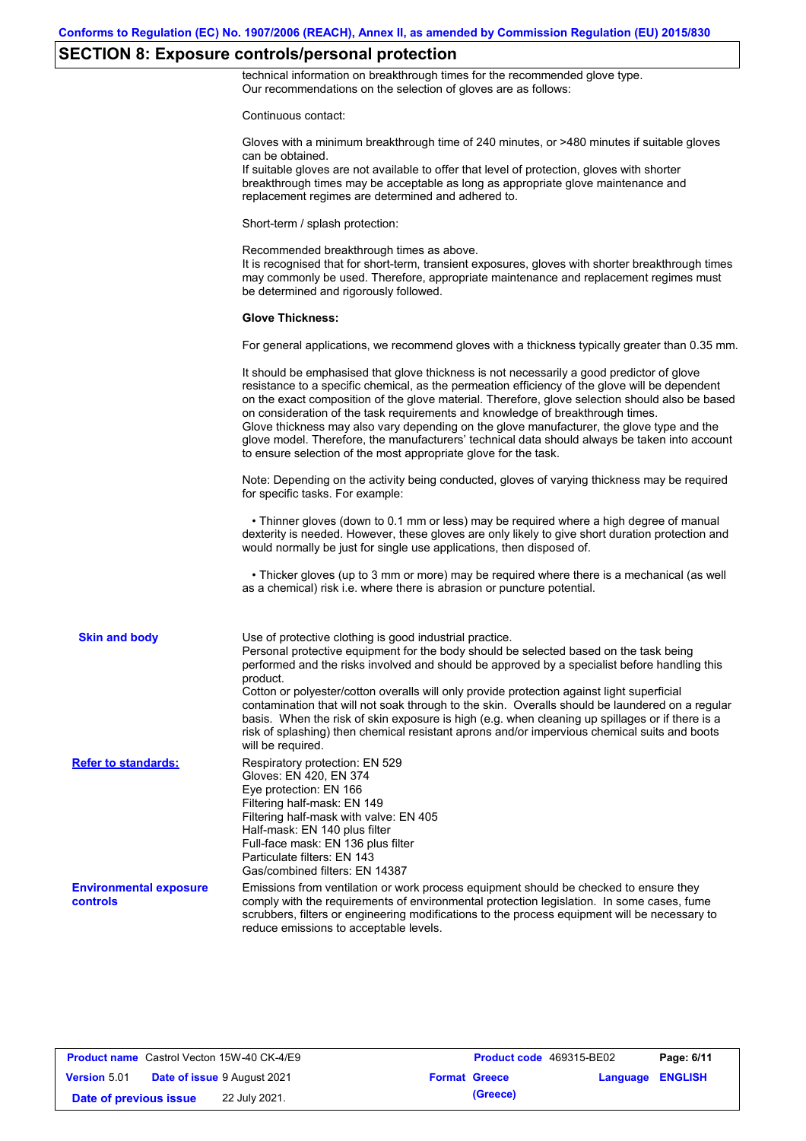# **SECTION 8: Exposure controls/personal protection**

technical information on breakthrough times for the recommended glove type. Our recommendations on the selection of gloves are as follows:

Continuous contact:

|                                           | ουπιπιαναδ συπιανι.                                                                                                                                                                                                                                                                                                                                                                                                                                                                                                                                                                                                                                                                   |
|-------------------------------------------|---------------------------------------------------------------------------------------------------------------------------------------------------------------------------------------------------------------------------------------------------------------------------------------------------------------------------------------------------------------------------------------------------------------------------------------------------------------------------------------------------------------------------------------------------------------------------------------------------------------------------------------------------------------------------------------|
|                                           | Gloves with a minimum breakthrough time of 240 minutes, or >480 minutes if suitable gloves<br>can be obtained.<br>If suitable gloves are not available to offer that level of protection, gloves with shorter<br>breakthrough times may be acceptable as long as appropriate glove maintenance and<br>replacement regimes are determined and adhered to.                                                                                                                                                                                                                                                                                                                              |
|                                           | Short-term / splash protection:                                                                                                                                                                                                                                                                                                                                                                                                                                                                                                                                                                                                                                                       |
|                                           | Recommended breakthrough times as above.<br>It is recognised that for short-term, transient exposures, gloves with shorter breakthrough times<br>may commonly be used. Therefore, appropriate maintenance and replacement regimes must<br>be determined and rigorously followed.                                                                                                                                                                                                                                                                                                                                                                                                      |
|                                           | <b>Glove Thickness:</b>                                                                                                                                                                                                                                                                                                                                                                                                                                                                                                                                                                                                                                                               |
|                                           | For general applications, we recommend gloves with a thickness typically greater than 0.35 mm.                                                                                                                                                                                                                                                                                                                                                                                                                                                                                                                                                                                        |
|                                           | It should be emphasised that glove thickness is not necessarily a good predictor of glove<br>resistance to a specific chemical, as the permeation efficiency of the glove will be dependent<br>on the exact composition of the glove material. Therefore, glove selection should also be based<br>on consideration of the task requirements and knowledge of breakthrough times.<br>Glove thickness may also vary depending on the glove manufacturer, the glove type and the<br>glove model. Therefore, the manufacturers' technical data should always be taken into account<br>to ensure selection of the most appropriate glove for the task.                                     |
|                                           | Note: Depending on the activity being conducted, gloves of varying thickness may be required<br>for specific tasks. For example:                                                                                                                                                                                                                                                                                                                                                                                                                                                                                                                                                      |
|                                           | • Thinner gloves (down to 0.1 mm or less) may be required where a high degree of manual<br>dexterity is needed. However, these gloves are only likely to give short duration protection and<br>would normally be just for single use applications, then disposed of.                                                                                                                                                                                                                                                                                                                                                                                                                  |
|                                           | • Thicker gloves (up to 3 mm or more) may be required where there is a mechanical (as well<br>as a chemical) risk i.e. where there is abrasion or puncture potential.                                                                                                                                                                                                                                                                                                                                                                                                                                                                                                                 |
| <b>Skin and body</b>                      | Use of protective clothing is good industrial practice.<br>Personal protective equipment for the body should be selected based on the task being<br>performed and the risks involved and should be approved by a specialist before handling this<br>product.<br>Cotton or polyester/cotton overalls will only provide protection against light superficial<br>contamination that will not soak through to the skin. Overalls should be laundered on a regular<br>basis. When the risk of skin exposure is high (e.g. when cleaning up spillages or if there is a<br>risk of splashing) then chemical resistant aprons and/or impervious chemical suits and boots<br>will be required. |
| <b>Refer to standards:</b>                | Respiratory protection: EN 529<br>Gloves: EN 420, EN 374<br>Eye protection: EN 166<br>Filtering half-mask: EN 149<br>Filtering half-mask with valve: EN 405<br>Half-mask: EN 140 plus filter<br>Full-face mask: EN 136 plus filter<br>Particulate filters: EN 143<br>Gas/combined filters: EN 14387                                                                                                                                                                                                                                                                                                                                                                                   |
| <b>Environmental exposure</b><br>controls | Emissions from ventilation or work process equipment should be checked to ensure they<br>comply with the requirements of environmental protection legislation. In some cases, fume<br>scrubbers, filters or engineering modifications to the process equipment will be necessary to<br>reduce emissions to acceptable levels.                                                                                                                                                                                                                                                                                                                                                         |
|                                           |                                                                                                                                                                                                                                                                                                                                                                                                                                                                                                                                                                                                                                                                                       |

| <b>Product name</b> Castrol Vecton 15W-40 CK-4/E9 |                                    |                      | Product code 469315-BE02 |                         | Page: 6/11 |
|---------------------------------------------------|------------------------------------|----------------------|--------------------------|-------------------------|------------|
| <b>Version 5.01</b>                               | <b>Date of issue 9 August 2021</b> | <b>Format Greece</b> |                          | <b>Language ENGLISH</b> |            |
| Date of previous issue                            | 22 July 2021.                      |                      | (Greece)                 |                         |            |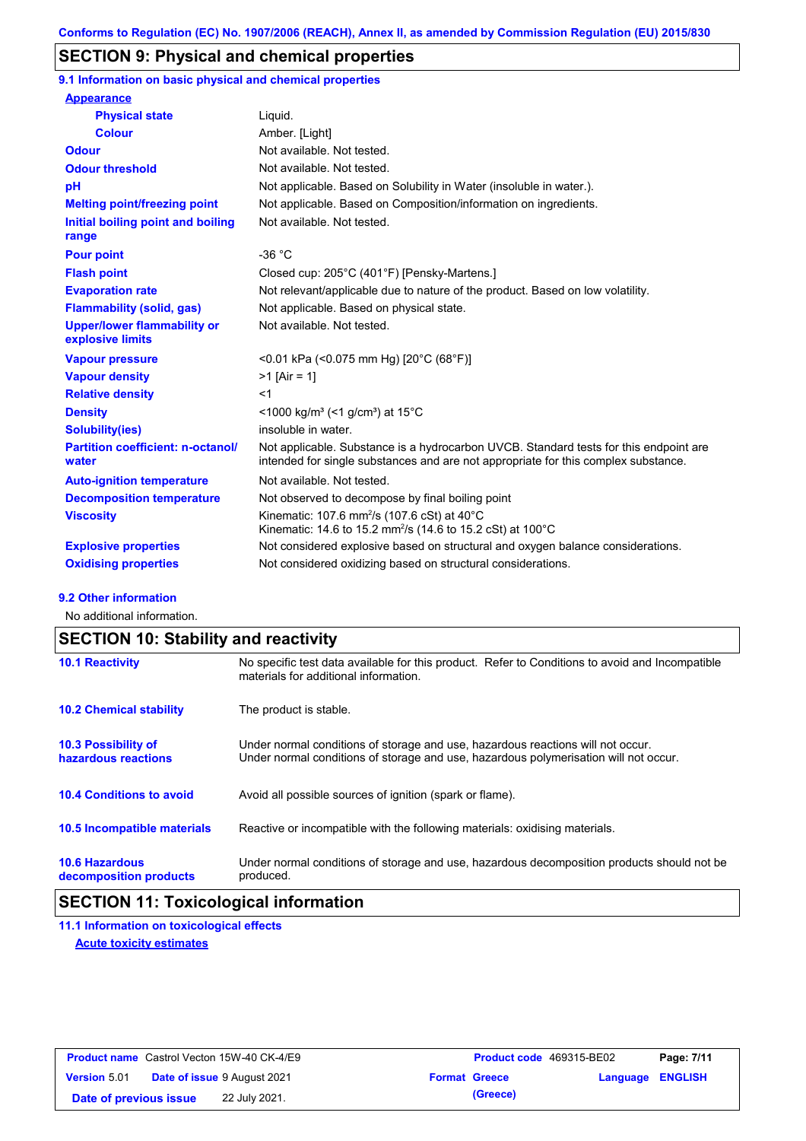## **SECTION 9: Physical and chemical properties**

**9.1 Information on basic physical and chemical properties**

| <b>Appearance</b>                                      |                                                                                                                                                                             |
|--------------------------------------------------------|-----------------------------------------------------------------------------------------------------------------------------------------------------------------------------|
| <b>Physical state</b>                                  | Liquid.                                                                                                                                                                     |
| <b>Colour</b>                                          | Amber. [Light]                                                                                                                                                              |
| <b>Odour</b>                                           | Not available. Not tested.                                                                                                                                                  |
| <b>Odour threshold</b>                                 | Not available. Not tested.                                                                                                                                                  |
| pH                                                     | Not applicable. Based on Solubility in Water (insoluble in water.).                                                                                                         |
| <b>Melting point/freezing point</b>                    | Not applicable. Based on Composition/information on ingredients.                                                                                                            |
| Initial boiling point and boiling<br>range             | Not available. Not tested.                                                                                                                                                  |
| <b>Pour point</b>                                      | $-36 °C$                                                                                                                                                                    |
| <b>Flash point</b>                                     | Closed cup: 205°C (401°F) [Pensky-Martens.]                                                                                                                                 |
| <b>Evaporation rate</b>                                | Not relevant/applicable due to nature of the product. Based on low volatility.                                                                                              |
| <b>Flammability (solid, gas)</b>                       | Not applicable. Based on physical state.                                                                                                                                    |
| <b>Upper/lower flammability or</b><br>explosive limits | Not available. Not tested.                                                                                                                                                  |
| <b>Vapour pressure</b>                                 | <0.01 kPa (<0.075 mm Hg) [20°C (68°F)]                                                                                                                                      |
| <b>Vapour density</b>                                  | $>1$ [Air = 1]                                                                                                                                                              |
| <b>Relative density</b>                                | $<$ 1                                                                                                                                                                       |
| <b>Density</b>                                         | $\leq$ 1000 kg/m <sup>3</sup> ( $\leq$ 1 g/cm <sup>3</sup> ) at 15 <sup>°</sup> C                                                                                           |
| <b>Solubility(ies)</b>                                 | insoluble in water.                                                                                                                                                         |
| <b>Partition coefficient: n-octanol/</b><br>water      | Not applicable. Substance is a hydrocarbon UVCB. Standard tests for this endpoint are<br>intended for single substances and are not appropriate for this complex substance. |
| <b>Auto-ignition temperature</b>                       | Not available. Not tested.                                                                                                                                                  |
| <b>Decomposition temperature</b>                       | Not observed to decompose by final boiling point                                                                                                                            |
| <b>Viscosity</b>                                       | Kinematic: 107.6 mm <sup>2</sup> /s (107.6 cSt) at $40^{\circ}$ C<br>Kinematic: 14.6 to 15.2 mm <sup>2</sup> /s (14.6 to 15.2 cSt) at 100°C                                 |
| <b>Explosive properties</b>                            | Not considered explosive based on structural and oxygen balance considerations.                                                                                             |
| <b>Oxidising properties</b>                            | Not considered oxidizing based on structural considerations.                                                                                                                |

#### **9.2 Other information**

No additional information.

# **SECTION 10: Stability and reactivity**

| <b>10.1 Reactivity</b>                            | No specific test data available for this product. Refer to Conditions to avoid and Incompatible<br>materials for additional information.                                |
|---------------------------------------------------|-------------------------------------------------------------------------------------------------------------------------------------------------------------------------|
| <b>10.2 Chemical stability</b>                    | The product is stable.                                                                                                                                                  |
| <b>10.3 Possibility of</b><br>hazardous reactions | Under normal conditions of storage and use, hazardous reactions will not occur.<br>Under normal conditions of storage and use, hazardous polymerisation will not occur. |
| <b>10.4 Conditions to avoid</b>                   | Avoid all possible sources of ignition (spark or flame).                                                                                                                |
| <b>10.5 Incompatible materials</b>                | Reactive or incompatible with the following materials: oxidising materials.                                                                                             |
| <b>10.6 Hazardous</b><br>decomposition products   | Under normal conditions of storage and use, hazardous decomposition products should not be<br>produced.                                                                 |

## **SECTION 11: Toxicological information**

**11.1 Information on toxicological effects Acute toxicity estimates**

| <b>Product name</b> Castrol Vecton 15W-40 CK-4/E9 |                                    |               |                      | <b>Product code</b> 469315-BE02 |                  | Page: 7/11 |
|---------------------------------------------------|------------------------------------|---------------|----------------------|---------------------------------|------------------|------------|
| <b>Version 5.01</b>                               | <b>Date of issue 9 August 2021</b> |               | <b>Format Greece</b> |                                 | Language ENGLISH |            |
| Date of previous issue                            |                                    | 22 July 2021. |                      | (Greece)                        |                  |            |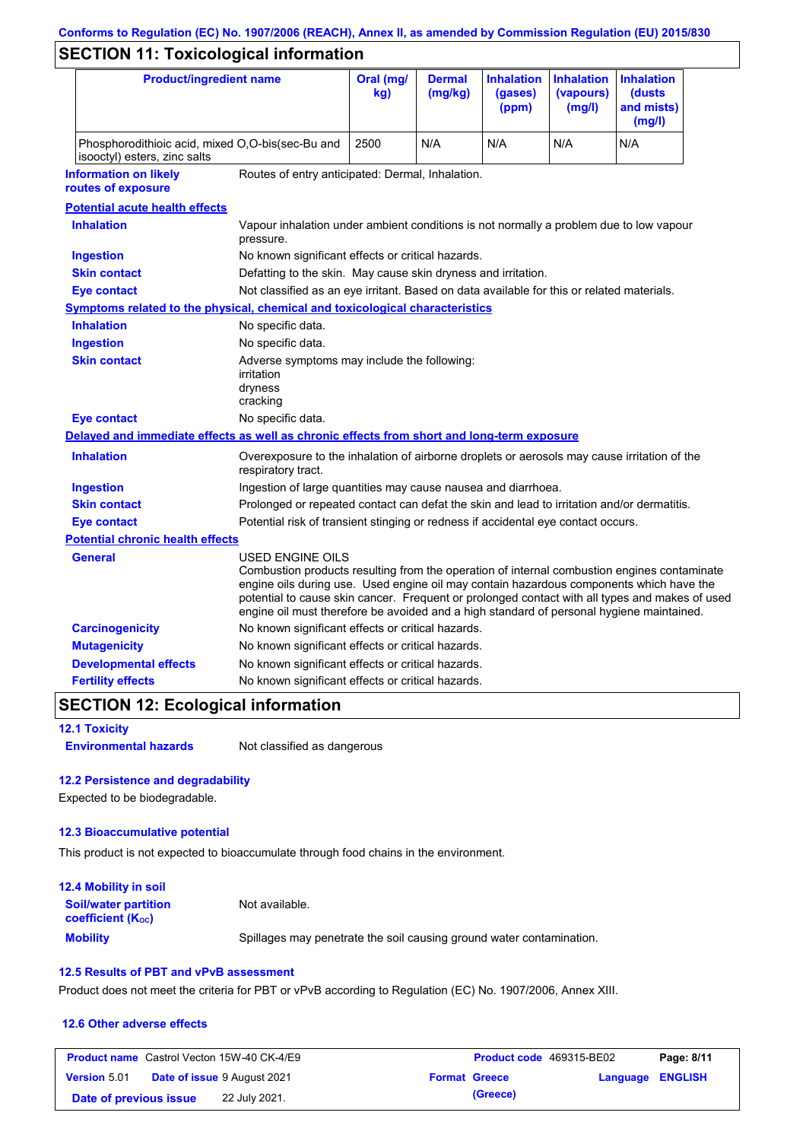# **Conforms to Regulation (EC) No. 1907/2006 (REACH), Annex II, as amended by Commission Regulation (EU) 2015/830**

# **SECTION 11: Toxicological information**

| <b>Product/ingredient name</b>                                                             |                                                                                                                                                                                                         | Oral (mg/<br>kg)                                                                           | <b>Dermal</b><br>(mg/kg) | <b>Inhalation</b><br>(gases)<br>(ppm) | <b>Inhalation</b><br>(vapours)<br>(mg/l) | <b>Inhalation</b><br>(dusts)<br>and mists)<br>(mg/l)                                                                                                                                          |
|--------------------------------------------------------------------------------------------|---------------------------------------------------------------------------------------------------------------------------------------------------------------------------------------------------------|--------------------------------------------------------------------------------------------|--------------------------|---------------------------------------|------------------------------------------|-----------------------------------------------------------------------------------------------------------------------------------------------------------------------------------------------|
| isooctyl) esters, zinc salts                                                               | Phosphorodithioic acid, mixed O,O-bis(sec-Bu and                                                                                                                                                        |                                                                                            | N/A                      | N/A                                   | N/A                                      | N/A                                                                                                                                                                                           |
| <b>Information on likely</b><br>routes of exposure                                         | Routes of entry anticipated: Dermal, Inhalation.                                                                                                                                                        |                                                                                            |                          |                                       |                                          |                                                                                                                                                                                               |
| <b>Potential acute health effects</b>                                                      |                                                                                                                                                                                                         |                                                                                            |                          |                                       |                                          |                                                                                                                                                                                               |
| <b>Inhalation</b>                                                                          | Vapour inhalation under ambient conditions is not normally a problem due to low vapour<br>pressure.                                                                                                     |                                                                                            |                          |                                       |                                          |                                                                                                                                                                                               |
| <b>Ingestion</b>                                                                           | No known significant effects or critical hazards.                                                                                                                                                       |                                                                                            |                          |                                       |                                          |                                                                                                                                                                                               |
| <b>Skin contact</b>                                                                        | Defatting to the skin. May cause skin dryness and irritation.                                                                                                                                           |                                                                                            |                          |                                       |                                          |                                                                                                                                                                                               |
| <b>Eye contact</b>                                                                         | Not classified as an eye irritant. Based on data available for this or related materials.                                                                                                               |                                                                                            |                          |                                       |                                          |                                                                                                                                                                                               |
| <b>Symptoms related to the physical, chemical and toxicological characteristics</b>        |                                                                                                                                                                                                         |                                                                                            |                          |                                       |                                          |                                                                                                                                                                                               |
| <b>Inhalation</b>                                                                          | No specific data.                                                                                                                                                                                       |                                                                                            |                          |                                       |                                          |                                                                                                                                                                                               |
| <b>Ingestion</b>                                                                           | No specific data.                                                                                                                                                                                       |                                                                                            |                          |                                       |                                          |                                                                                                                                                                                               |
| <b>Skin contact</b>                                                                        | Adverse symptoms may include the following:<br>irritation<br>dryness<br>cracking                                                                                                                        |                                                                                            |                          |                                       |                                          |                                                                                                                                                                                               |
| <b>Eye contact</b>                                                                         | No specific data.                                                                                                                                                                                       |                                                                                            |                          |                                       |                                          |                                                                                                                                                                                               |
| Delayed and immediate effects as well as chronic effects from short and long-term exposure |                                                                                                                                                                                                         |                                                                                            |                          |                                       |                                          |                                                                                                                                                                                               |
| <b>Inhalation</b>                                                                          | Overexposure to the inhalation of airborne droplets or aerosols may cause irritation of the<br>respiratory tract.                                                                                       |                                                                                            |                          |                                       |                                          |                                                                                                                                                                                               |
| <b>Ingestion</b>                                                                           |                                                                                                                                                                                                         | Ingestion of large quantities may cause nausea and diarrhoea.                              |                          |                                       |                                          |                                                                                                                                                                                               |
| <b>Skin contact</b>                                                                        |                                                                                                                                                                                                         | Prolonged or repeated contact can defat the skin and lead to irritation and/or dermatitis. |                          |                                       |                                          |                                                                                                                                                                                               |
| <b>Eye contact</b>                                                                         | Potential risk of transient stinging or redness if accidental eye contact occurs.                                                                                                                       |                                                                                            |                          |                                       |                                          |                                                                                                                                                                                               |
| <b>Potential chronic health effects</b>                                                    |                                                                                                                                                                                                         |                                                                                            |                          |                                       |                                          |                                                                                                                                                                                               |
| General                                                                                    | USED ENGINE OILS<br>engine oils during use. Used engine oil may contain hazardous components which have the<br>engine oil must therefore be avoided and a high standard of personal hygiene maintained. |                                                                                            |                          |                                       |                                          | Combustion products resulting from the operation of internal combustion engines contaminate<br>potential to cause skin cancer. Frequent or prolonged contact with all types and makes of used |
| <b>Carcinogenicity</b>                                                                     | No known significant effects or critical hazards.                                                                                                                                                       |                                                                                            |                          |                                       |                                          |                                                                                                                                                                                               |
| <b>Mutagenicity</b>                                                                        | No known significant effects or critical hazards.                                                                                                                                                       |                                                                                            |                          |                                       |                                          |                                                                                                                                                                                               |
| <b>Developmental effects</b>                                                               | No known significant effects or critical hazards.                                                                                                                                                       |                                                                                            |                          |                                       |                                          |                                                                                                                                                                                               |
| <b>Fertility effects</b>                                                                   | No known significant effects or critical hazards.                                                                                                                                                       |                                                                                            |                          |                                       |                                          |                                                                                                                                                                                               |

## **SECTION 12: Ecological information**

**12.1 Toxicity**

**Environmental hazards** Not classified as dangerous

### **12.2 Persistence and degradability**

Expected to be biodegradable.

#### **12.3 Bioaccumulative potential**

This product is not expected to bioaccumulate through food chains in the environment.

| <b>12.4 Mobility in soil</b>                                         |                                                                      |
|----------------------------------------------------------------------|----------------------------------------------------------------------|
| <b>Soil/water partition</b><br><b>coefficient</b> (K <sub>oc</sub> ) | Not available.                                                       |
| <b>Mobility</b>                                                      | Spillages may penetrate the soil causing ground water contamination. |

### **12.5 Results of PBT and vPvB assessment**

Product does not meet the criteria for PBT or vPvB according to Regulation (EC) No. 1907/2006, Annex XIII.

#### **12.6 Other adverse effects**

|                        | <b>Product name</b> Castrol Vecton 15W-40 CK-4/E9 | <b>Product code</b> 469315-BE02 |                  | Page: 8/11 |
|------------------------|---------------------------------------------------|---------------------------------|------------------|------------|
| <b>Version 5.01</b>    | <b>Date of issue 9 August 2021</b>                | <b>Format Greece</b>            | Language ENGLISH |            |
| Date of previous issue | 22 July 2021.                                     | (Greece)                        |                  |            |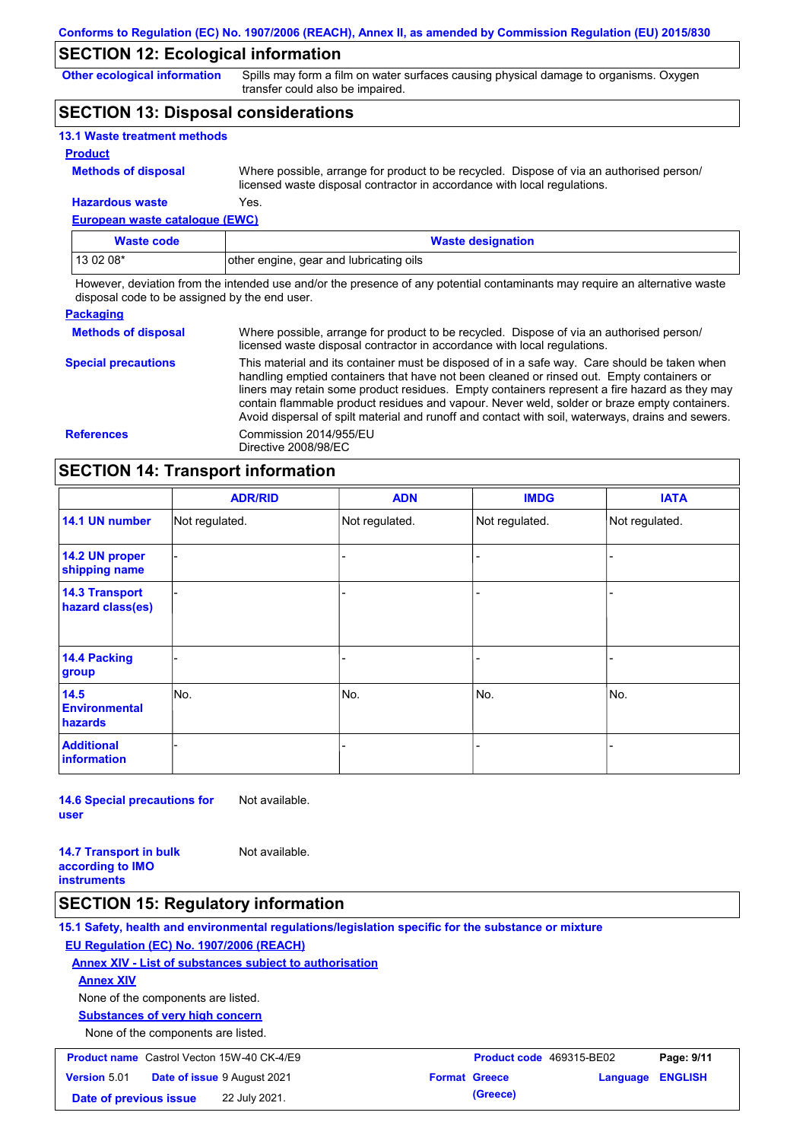## **SECTION 12: Ecological information**

**Other ecological information**

Spills may form a film on water surfaces causing physical damage to organisms. Oxygen transfer could also be impaired.

## **SECTION 13: Disposal considerations**

| <b>13.1 Waste treatment methods</b> |                                                                                                                                                                      |
|-------------------------------------|----------------------------------------------------------------------------------------------------------------------------------------------------------------------|
| <b>Product</b>                      |                                                                                                                                                                      |
| <b>Methods of disposal</b>          | Where possible, arrange for product to be recycled. Dispose of via an authorised person/<br>licensed waste disposal contractor in accordance with local regulations. |
| <b>Hazardous waste</b>              | Yes.                                                                                                                                                                 |

**European waste catalogue (EWC)**

| Waste code | <b>Waste designation</b>                |
|------------|-----------------------------------------|
| $130208*$  | other engine, gear and lubricating oils |

However, deviation from the intended use and/or the presence of any potential contaminants may require an alternative waste disposal code to be assigned by the end user.

| <b>Packaging</b>           |                                                                                                                                                                                                                                                                                                                                                                                                                                                                                                 |
|----------------------------|-------------------------------------------------------------------------------------------------------------------------------------------------------------------------------------------------------------------------------------------------------------------------------------------------------------------------------------------------------------------------------------------------------------------------------------------------------------------------------------------------|
| <b>Methods of disposal</b> | Where possible, arrange for product to be recycled. Dispose of via an authorised person/<br>licensed waste disposal contractor in accordance with local regulations.                                                                                                                                                                                                                                                                                                                            |
| <b>Special precautions</b> | This material and its container must be disposed of in a safe way. Care should be taken when<br>handling emptied containers that have not been cleaned or rinsed out. Empty containers or<br>liners may retain some product residues. Empty containers represent a fire hazard as they may<br>contain flammable product residues and vapour. Never weld, solder or braze empty containers.<br>Avoid dispersal of spilt material and runoff and contact with soil, waterways, drains and sewers. |
| <b>References</b>          | Commission 2014/955/EU<br>Directive 2008/98/EC                                                                                                                                                                                                                                                                                                                                                                                                                                                  |

## **SECTION 14: Transport information**

|                                           | <b>ADR/RID</b> | <b>ADN</b>     | <b>IMDG</b>    | <b>IATA</b>    |  |
|-------------------------------------------|----------------|----------------|----------------|----------------|--|
| 14.1 UN number                            | Not regulated. | Not regulated. | Not regulated. | Not regulated. |  |
| 14.2 UN proper<br>shipping name           |                |                | -              |                |  |
| <b>14.3 Transport</b><br>hazard class(es) |                |                | -              |                |  |
| 14.4 Packing<br>group                     |                |                | -              |                |  |
| 14.5<br><b>Environmental</b><br>hazards   | No.            | No.            | No.            | No.            |  |
| <b>Additional</b><br><b>information</b>   |                |                |                |                |  |

**14.6 Special precautions for user** Not available.

**14.7 Transport in bulk according to IMO instruments** Not available.

### **SECTION 15: Regulatory information**

**15.1 Safety, health and environmental regulations/legislation specific for the substance or mixture EU Regulation (EC) No. 1907/2006 (REACH) Annex XIV - List of substances subject to authorisation Substances of very high concern** None of the components are listed. None of the components are listed. **Annex XIV Product name** Castrol Vecton 15W-40 CK-4/E9 **Product Code 469315-BE02 Page: 9/11 Version** 5.01 **Date of issue** 9 August 2021 **Format Greece Language ENGLISH Date of previous issue 22 July 2021. (Greece) (Greece)**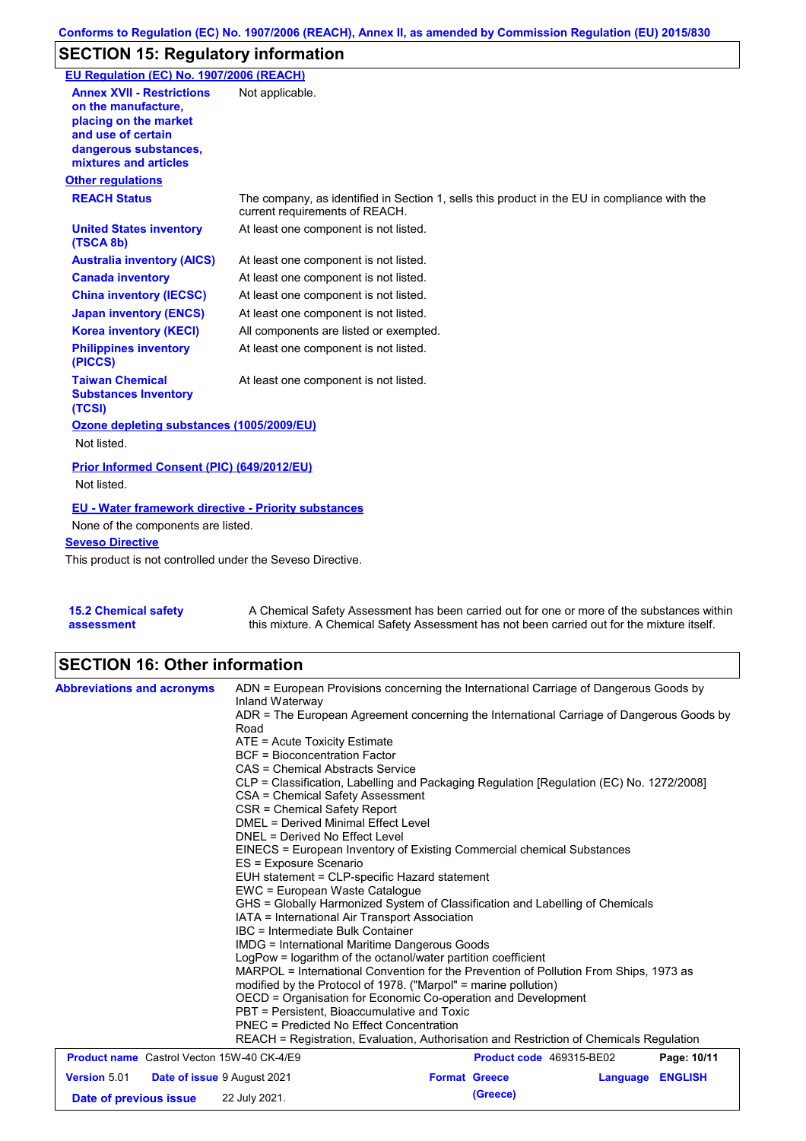# **SECTION 15: Regulatory information**

| EU Regulation (EC) No. 1907/2006 (REACH)                                                                                                                 |                                                                                                                                |
|----------------------------------------------------------------------------------------------------------------------------------------------------------|--------------------------------------------------------------------------------------------------------------------------------|
| <b>Annex XVII - Restrictions</b><br>on the manufacture.<br>placing on the market<br>and use of certain<br>dangerous substances,<br>mixtures and articles | Not applicable.                                                                                                                |
| <b>Other regulations</b>                                                                                                                                 |                                                                                                                                |
| <b>REACH Status</b>                                                                                                                                      | The company, as identified in Section 1, sells this product in the EU in compliance with the<br>current requirements of REACH. |
| <b>United States inventory</b><br>(TSCA 8b)                                                                                                              | At least one component is not listed.                                                                                          |
| <b>Australia inventory (AICS)</b>                                                                                                                        | At least one component is not listed.                                                                                          |
| <b>Canada inventory</b>                                                                                                                                  | At least one component is not listed.                                                                                          |
| <b>China inventory (IECSC)</b>                                                                                                                           | At least one component is not listed.                                                                                          |
| <b>Japan inventory (ENCS)</b>                                                                                                                            | At least one component is not listed.                                                                                          |
| <b>Korea inventory (KECI)</b>                                                                                                                            | All components are listed or exempted.                                                                                         |
| <b>Philippines inventory</b><br>(PICCS)                                                                                                                  | At least one component is not listed.                                                                                          |
| <b>Taiwan Chemical</b><br><b>Substances Inventory</b><br>(TCSI)                                                                                          | At least one component is not listed.                                                                                          |
| Ozone depleting substances (1005/2009/EU)                                                                                                                |                                                                                                                                |
| Not listed.                                                                                                                                              |                                                                                                                                |
| Prior Informed Consent (PIC) (649/2012/EU)<br>Not listed.                                                                                                |                                                                                                                                |
| <b>EU - Water framework directive - Priority substances</b>                                                                                              |                                                                                                                                |
| None of the components are listed.                                                                                                                       |                                                                                                                                |
| <b>Seveso Directive</b>                                                                                                                                  |                                                                                                                                |
| This product is not controlled under the Seveso Directive.                                                                                               |                                                                                                                                |

**15.2 Chemical safety assessment** A Chemical Safety Assessment has been carried out for one or more of the substances within this mixture. A Chemical Safety Assessment has not been carried out for the mixture itself.

# **SECTION 16: Other information**

| <b>Abbreviations and acronyms</b>                         | ADN = European Provisions concerning the International Carriage of Dangerous Goods by<br>Inland Waterway<br>ADR = The European Agreement concerning the International Carriage of Dangerous Goods by<br>Road<br>$ATE = Acute Toxicity Estimate$                                                                                    |                          |          |                |  |  |
|-----------------------------------------------------------|------------------------------------------------------------------------------------------------------------------------------------------------------------------------------------------------------------------------------------------------------------------------------------------------------------------------------------|--------------------------|----------|----------------|--|--|
|                                                           | <b>BCF</b> = Bioconcentration Factor                                                                                                                                                                                                                                                                                               |                          |          |                |  |  |
|                                                           | CAS = Chemical Abstracts Service                                                                                                                                                                                                                                                                                                   |                          |          |                |  |  |
|                                                           | CLP = Classification, Labelling and Packaging Regulation [Regulation (EC) No. 1272/2008]<br>CSA = Chemical Safety Assessment                                                                                                                                                                                                       |                          |          |                |  |  |
|                                                           |                                                                                                                                                                                                                                                                                                                                    |                          |          |                |  |  |
|                                                           | CSR = Chemical Safety Report                                                                                                                                                                                                                                                                                                       |                          |          |                |  |  |
|                                                           | DMEL = Derived Minimal Effect Level<br>DNEL = Derived No Effect Level<br>EINECS = European Inventory of Existing Commercial chemical Substances                                                                                                                                                                                    |                          |          |                |  |  |
|                                                           |                                                                                                                                                                                                                                                                                                                                    |                          |          |                |  |  |
|                                                           |                                                                                                                                                                                                                                                                                                                                    |                          |          |                |  |  |
|                                                           | ES = Exposure Scenario<br>EUH statement = CLP-specific Hazard statement<br>EWC = European Waste Catalogue<br>GHS = Globally Harmonized System of Classification and Labelling of Chemicals<br>IATA = International Air Transport Association<br>IBC = Intermediate Bulk Container<br>IMDG = International Maritime Dangerous Goods |                          |          |                |  |  |
|                                                           |                                                                                                                                                                                                                                                                                                                                    |                          |          |                |  |  |
|                                                           |                                                                                                                                                                                                                                                                                                                                    |                          |          |                |  |  |
|                                                           |                                                                                                                                                                                                                                                                                                                                    |                          |          |                |  |  |
|                                                           |                                                                                                                                                                                                                                                                                                                                    |                          |          |                |  |  |
|                                                           |                                                                                                                                                                                                                                                                                                                                    |                          |          |                |  |  |
|                                                           | LogPow = logarithm of the octanol/water partition coefficient<br>MARPOL = International Convention for the Prevention of Pollution From Ships, 1973 as<br>modified by the Protocol of 1978. ("Marpol" = marine pollution)<br>OECD = Organisation for Economic Co-operation and Development                                         |                          |          |                |  |  |
|                                                           |                                                                                                                                                                                                                                                                                                                                    |                          |          |                |  |  |
|                                                           |                                                                                                                                                                                                                                                                                                                                    |                          |          |                |  |  |
|                                                           |                                                                                                                                                                                                                                                                                                                                    |                          |          |                |  |  |
|                                                           | PBT = Persistent, Bioaccumulative and Toxic                                                                                                                                                                                                                                                                                        |                          |          |                |  |  |
|                                                           | PNEC = Predicted No Effect Concentration                                                                                                                                                                                                                                                                                           |                          |          |                |  |  |
|                                                           | REACH = Registration, Evaluation, Authorisation and Restriction of Chemicals Regulation                                                                                                                                                                                                                                            |                          |          |                |  |  |
| <b>Product name</b> Castrol Vecton 15W-40 CK-4/E9         |                                                                                                                                                                                                                                                                                                                                    | Product code 469315-BE02 |          | Page: 10/11    |  |  |
| <b>Version 5.01</b><br><b>Date of issue 9 August 2021</b> |                                                                                                                                                                                                                                                                                                                                    | <b>Format Greece</b>     | Language | <b>ENGLISH</b> |  |  |
| Date of previous issue                                    | 22 July 2021.                                                                                                                                                                                                                                                                                                                      | (Greece)                 |          |                |  |  |